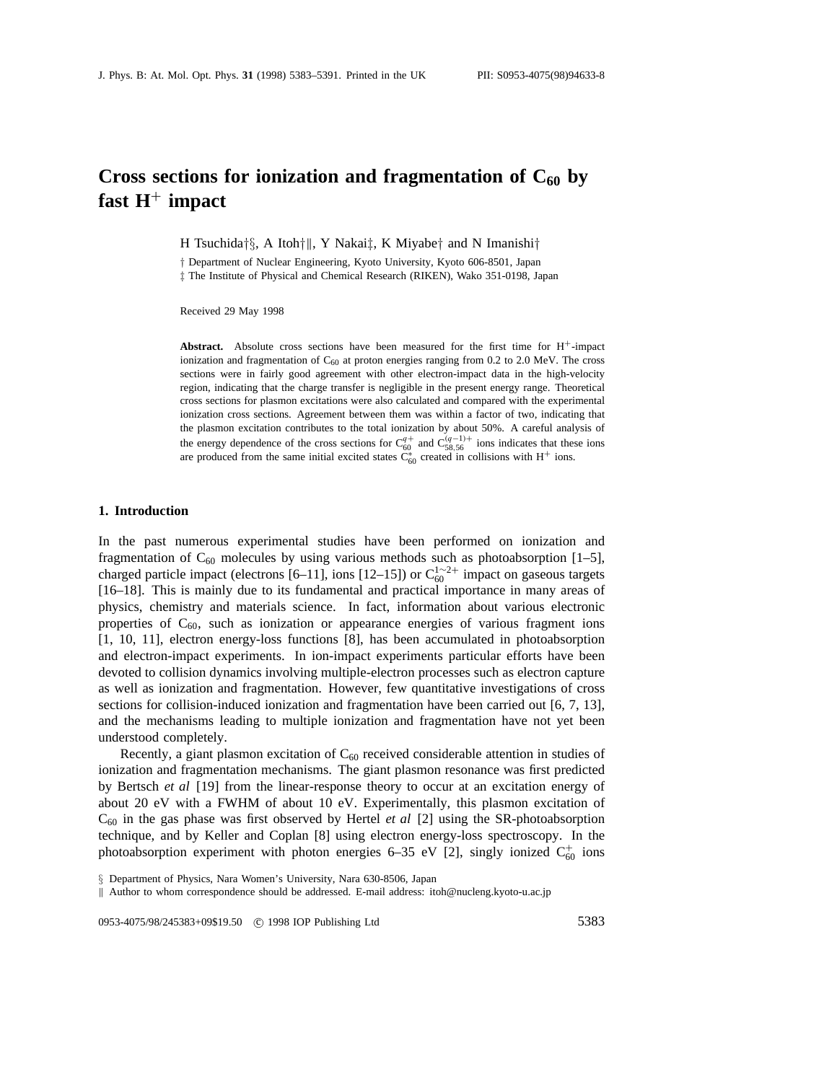# Cross sections for ionization and fragmentation of  $C_{60}$  by **fast H**<sup>+</sup> **impact**

H Tsuchida*†§*, A Itoh*†*k, Y Nakai*‡*, K Miyabe*†* and N Imanishi*†*

*†* Department of Nuclear Engineering, Kyoto University, Kyoto 606-8501, Japan *‡* The Institute of Physical and Chemical Research (RIKEN), Wako 351-0198, Japan

Received 29 May 1998

**Abstract.** Absolute cross sections have been measured for the first time for  $H^+$ -impact ionization and fragmentation of  $C_{60}$  at proton energies ranging from 0.2 to 2.0 MeV. The cross sections were in fairly good agreement with other electron-impact data in the high-velocity region, indicating that the charge transfer is negligible in the present energy range. Theoretical cross sections for plasmon excitations were also calculated and compared with the experimental ionization cross sections. Agreement between them was within a factor of two, indicating that the plasmon excitation contributes to the total ionization by about 50%. A careful analysis of the energy dependence of the cross sections for  $C_{60}^{q+}$  and  $C_{58,56}^{(q-1)+}$  ions indicates that these ions are produced from the same initial excited states  $C_{60}^*$  created in collisions with H<sup>+</sup> ions.

## **1. Introduction**

In the past numerous experimental studies have been performed on ionization and fragmentation of  $C_{60}$  molecules by using various methods such as photoabsorption [1–5], charged particle impact (electrons [6–11], ions [12–15]) or  $C_{60}^{1 \sim 2+}$  impact on gaseous targets [16–18]. This is mainly due to its fundamental and practical importance in many areas of physics, chemistry and materials science. In fact, information about various electronic properties of  $C_{60}$ , such as ionization or appearance energies of various fragment ions [1, 10, 11], electron energy-loss functions [8], has been accumulated in photoabsorption and electron-impact experiments. In ion-impact experiments particular efforts have been devoted to collision dynamics involving multiple-electron processes such as electron capture as well as ionization and fragmentation. However, few quantitative investigations of cross sections for collision-induced ionization and fragmentation have been carried out [6, 7, 13], and the mechanisms leading to multiple ionization and fragmentation have not yet been understood completely.

Recently, a giant plasmon excitation of  $C_{60}$  received considerable attention in studies of ionization and fragmentation mechanisms. The giant plasmon resonance was first predicted by Bertsch *et al* [19] from the linear-response theory to occur at an excitation energy of about 20 eV with a FWHM of about 10 eV. Experimentally, this plasmon excitation of  $C_{60}$  in the gas phase was first observed by Hertel *et al* [2] using the SR-photoabsorption technique, and by Keller and Coplan [8] using electron energy-loss spectroscopy. In the photoabsorption experiment with photon energies 6–35 eV [2], singly ionized  $C_{60}^+$  ions

0953-4075/98/245383+09\$19.50 <sup>c</sup> 1998 IOP Publishing Ltd 5383

*<sup>§</sup>* Department of Physics, Nara Women's University, Nara 630-8506, Japan

k Author to whom correspondence should be addressed. E-mail address: itoh@nucleng.kyoto-u.ac.jp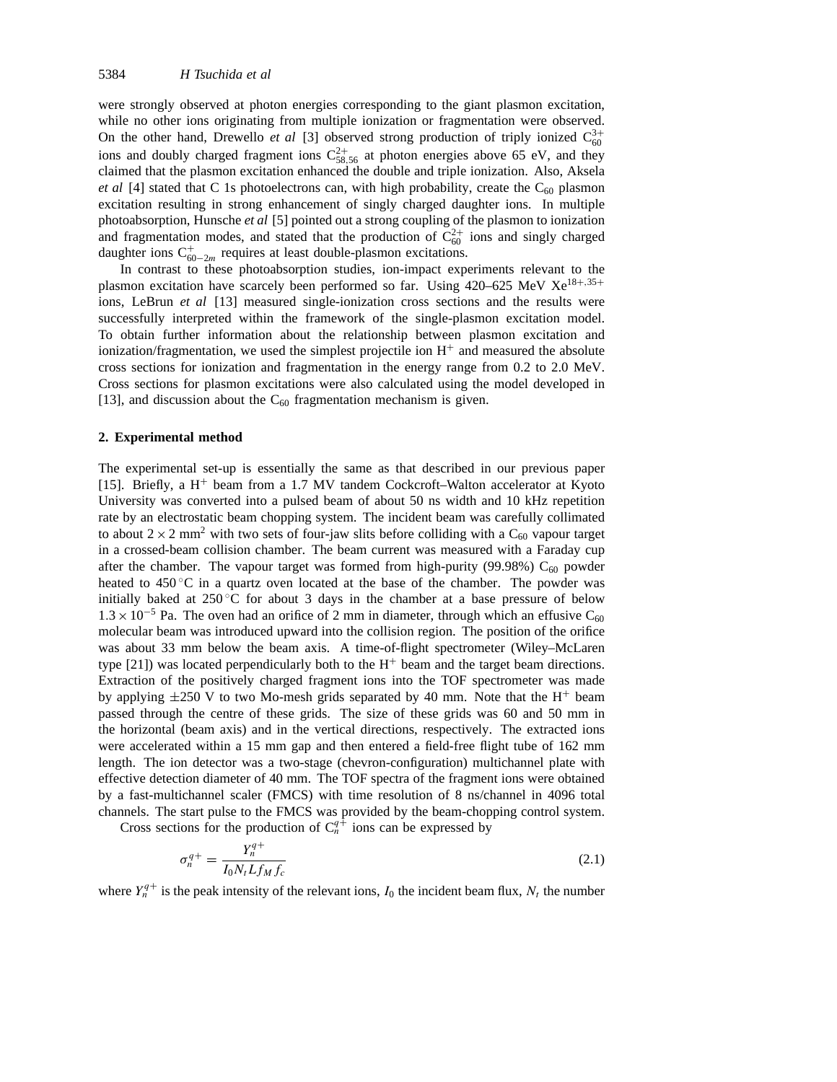were strongly observed at photon energies corresponding to the giant plasmon excitation, while no other ions originating from multiple ionization or fragmentation were observed. On the other hand, Drewello *et al* [3] observed strong production of triply ionized  $C_{60}^{3+}$ ions and doubly charged fragment ions  $C_{58,56}^{2+}$  at photon energies above 65 eV, and they claimed that the plasmon excitation enhanced the double and triple ionization. Also, Aksela *et al* [4] stated that C 1s photoelectrons can, with high probability, create the  $C_{60}$  plasmon excitation resulting in strong enhancement of singly charged daughter ions. In multiple photoabsorption, Hunsche *et al* [5] pointed out a strong coupling of the plasmon to ionization and fragmentation modes, and stated that the production of  $C_{60}^{2+}$  ions and singly charged daughter ions  $C_{60-2m}^+$  requires at least double-plasmon excitations.

In contrast to these photoabsorption studies, ion-impact experiments relevant to the plasmon excitation have scarcely been performed so far. Using 420–625 MeV Xe<sup>18</sup>+*,*35<sup>+</sup> ions, LeBrun *et al* [13] measured single-ionization cross sections and the results were successfully interpreted within the framework of the single-plasmon excitation model. To obtain further information about the relationship between plasmon excitation and ionization/fragmentation, we used the simplest projectile ion  $H<sup>+</sup>$  and measured the absolute cross sections for ionization and fragmentation in the energy range from 0.2 to 2.0 MeV. Cross sections for plasmon excitations were also calculated using the model developed in [13], and discussion about the  $C_{60}$  fragmentation mechanism is given.

#### **2. Experimental method**

The experimental set-up is essentially the same as that described in our previous paper [15]. Briefly, a  $H^+$  beam from a 1.7 MV tandem Cockcroft–Walton accelerator at Kyoto University was converted into a pulsed beam of about 50 ns width and 10 kHz repetition rate by an electrostatic beam chopping system. The incident beam was carefully collimated to about  $2 \times 2$  mm<sup>2</sup> with two sets of four-jaw slits before colliding with a C<sub>60</sub> vapour target in a crossed-beam collision chamber. The beam current was measured with a Faraday cup after the chamber. The vapour target was formed from high-purity (99.98%)  $C_{60}$  powder heated to  $450\degree\text{C}$  in a quartz oven located at the base of the chamber. The powder was initially baked at  $250^{\circ}$ C for about 3 days in the chamber at a base pressure of below  $1.3 \times 10^{-5}$  Pa. The oven had an orifice of 2 mm in diameter, through which an effusive C<sub>60</sub> molecular beam was introduced upward into the collision region. The position of the orifice was about 33 mm below the beam axis. A time-of-flight spectrometer (Wiley–McLaren type  $[21]$ ) was located perpendicularly both to the  $H<sup>+</sup>$  beam and the target beam directions. Extraction of the positively charged fragment ions into the TOF spectrometer was made by applying  $\pm 250$  V to two Mo-mesh grids separated by 40 mm. Note that the H<sup>+</sup> beam passed through the centre of these grids. The size of these grids was 60 and 50 mm in the horizontal (beam axis) and in the vertical directions, respectively. The extracted ions were accelerated within a 15 mm gap and then entered a field-free flight tube of 162 mm length. The ion detector was a two-stage (chevron-configuration) multichannel plate with effective detection diameter of 40 mm. The TOF spectra of the fragment ions were obtained by a fast-multichannel scaler (FMCS) with time resolution of 8 ns/channel in 4096 total channels. The start pulse to the FMCS was provided by the beam-chopping control system.

Cross sections for the production of  $C_n^{q+}$  ions can be expressed by

$$
\sigma_n^{q+} = \frac{Y_n^{q+}}{I_0 N_t L f_M f_c} \tag{2.1}
$$

where  $Y_n^{q+}$  is the peak intensity of the relevant ions,  $I_0$  the incident beam flux,  $N_t$  the number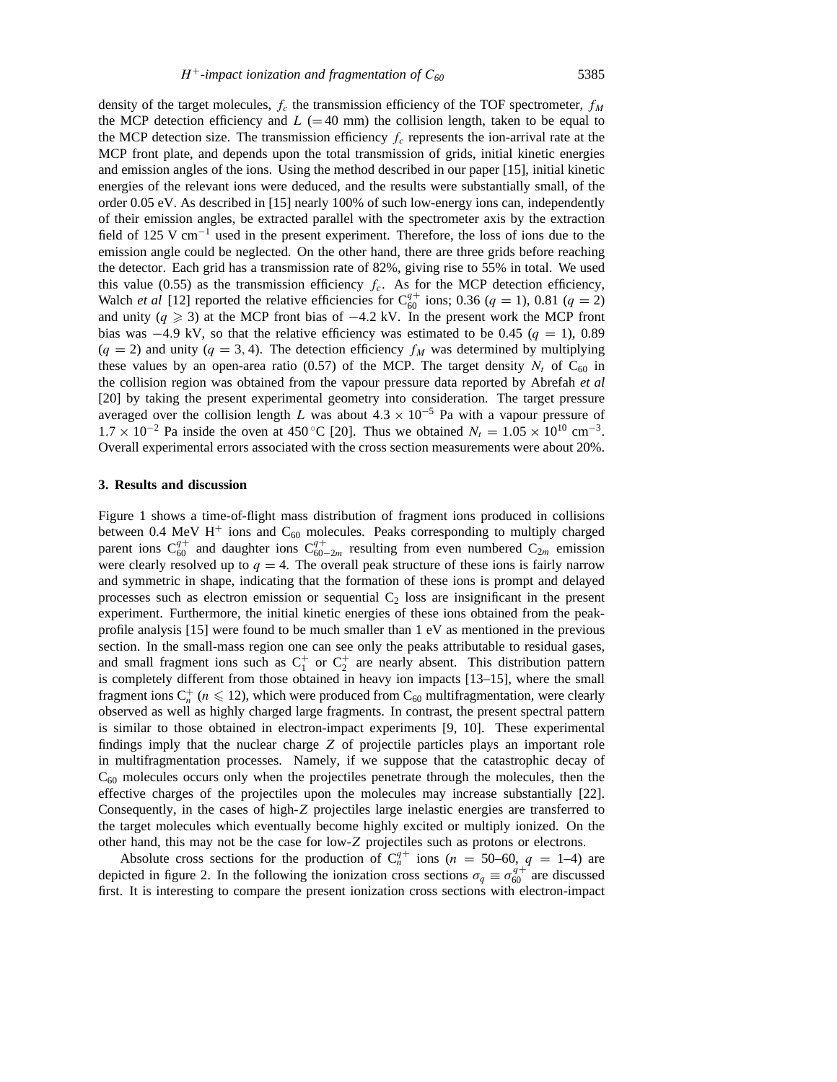density of the target molecules,  $f_c$  the transmission efficiency of the TOF spectrometer,  $f_M$ the MCP detection efficiency and  $L$  (=40 mm) the collision length, taken to be equal to the MCP detection size. The transmission efficiency  $f_c$  represents the ion-arrival rate at the MCP front plate, and depends upon the total transmission of grids, initial kinetic energies and emission angles of the ions. Using the method described in our paper [15], initial kinetic energies of the relevant ions were deduced, and the results were substantially small, of the order 0.05 eV. As described in [15] nearly 100% of such low-energy ions can, independently of their emission angles, be extracted parallel with the spectrometer axis by the extraction field of 125 V cm−<sup>1</sup> used in the present experiment. Therefore, the loss of ions due to the emission angle could be neglected. On the other hand, there are three grids before reaching the detector. Each grid has a transmission rate of 82%, giving rise to 55% in total. We used this value (0.55) as the transmission efficiency  $f_c$ . As for the MCP detection efficiency, Walch *et al* [12] reported the relative efficiencies for  $C_{60}^{q+}$  ions; 0.36 (*q* = 1), 0.81 (*q* = 2) and unity ( $q \ge 3$ ) at the MCP front bias of  $-4.2$  kV. In the present work the MCP front bias was  $-4.9$  kV, so that the relative efficiency was estimated to be 0.45 ( $q = 1$ ), 0.89  $(q = 2)$  and unity  $(q = 3, 4)$ . The detection efficiency  $f_M$  was determined by multiplying these values by an open-area ratio  $(0.57)$  of the MCP. The target density  $N_t$  of  $C_{60}$  in the collision region was obtained from the vapour pressure data reported by Abrefah *et al* [20] by taking the present experimental geometry into consideration. The target pressure averaged over the collision length *L* was about  $4.3 \times 10^{-5}$  Pa with a vapour pressure of  $1.7 \times 10^{-2}$  Pa inside the oven at 450 °C [20]. Thus we obtained  $N_t = 1.05 \times 10^{10}$  cm<sup>-3</sup>. Overall experimental errors associated with the cross section measurements were about 20%.

#### **3. Results and discussion**

Figure 1 shows a time-of-flight mass distribution of fragment ions produced in collisions between 0.4 MeV H<sup>+</sup> ions and  $C_{60}$  molecules. Peaks corresponding to multiply charged parent ions  $C_{60}^{q+}$  and daughter ions  $C_{60-2m}^{q+}$  resulting from even numbered  $C_{2m}$  emission were clearly resolved up to  $q = 4$ . The overall peak structure of these ions is fairly narrow and symmetric in shape, indicating that the formation of these ions is prompt and delayed processes such as electron emission or sequential  $C_2$  loss are insignificant in the present experiment. Furthermore, the initial kinetic energies of these ions obtained from the peakprofile analysis [15] were found to be much smaller than 1 eV as mentioned in the previous section. In the small-mass region one can see only the peaks attributable to residual gases, and small fragment ions such as  $C_1^+$  or  $C_2^+$  are nearly absent. This distribution pattern is completely different from those obtained in heavy ion impacts [13–15], where the small fragment ions  $C_n^+$  ( $n \leq 12$ ), which were produced from  $C_{60}$  multifragmentation, were clearly observed as well as highly charged large fragments. In contrast, the present spectral pattern is similar to those obtained in electron-impact experiments [9, 10]. These experimental findings imply that the nuclear charge *Z* of projectile particles plays an important role in multifragmentation processes. Namely, if we suppose that the catastrophic decay of  $C_{60}$  molecules occurs only when the projectiles penetrate through the molecules, then the effective charges of the projectiles upon the molecules may increase substantially [22]. Consequently, in the cases of high-*Z* projectiles large inelastic energies are transferred to the target molecules which eventually become highly excited or multiply ionized. On the other hand, this may not be the case for low-*Z* projectiles such as protons or electrons.

Absolute cross sections for the production of  $C_n^{q+}$  ions (*n* = 50–60, *q* = 1–4) are depicted in figure 2. In the following the ionization cross sections  $\sigma_q \equiv \sigma_{60}^{q+2}$  are discussed first. It is interesting to compare the present ionization cross sections with electron-impact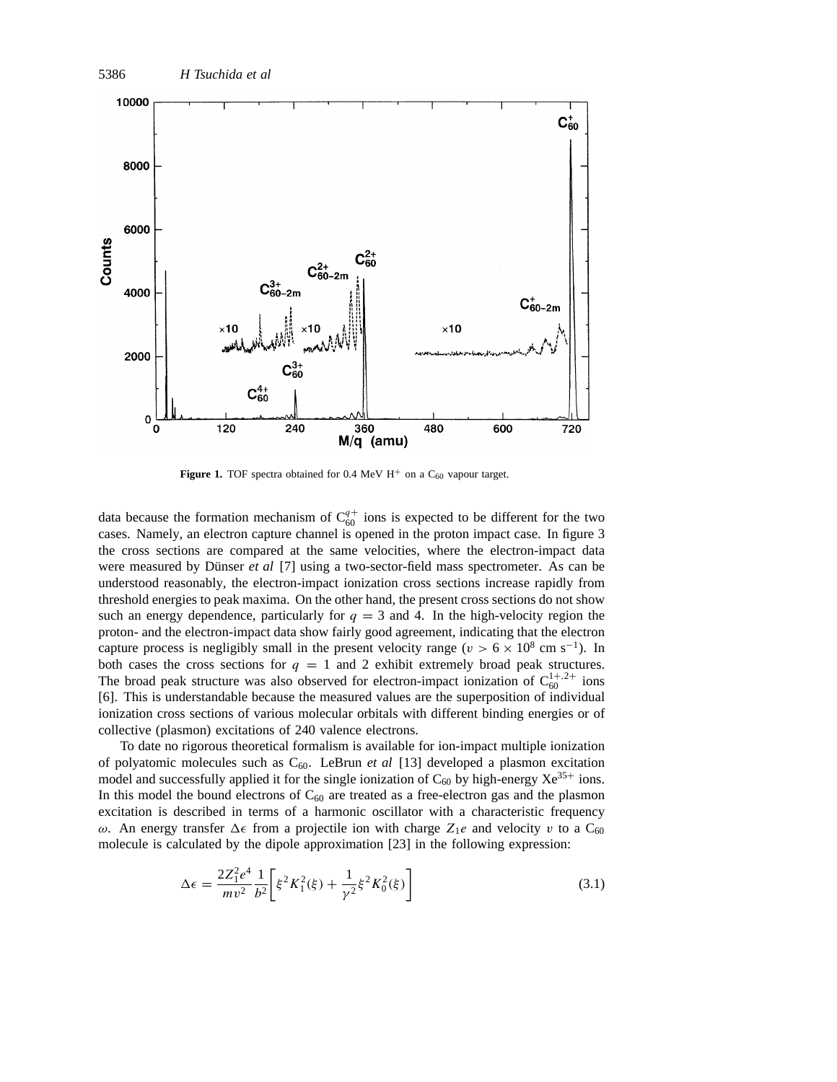

**Figure 1.** TOF spectra obtained for 0.4 MeV  $H^+$  on a  $C_{60}$  vapour target.

data because the formation mechanism of  $C_{60}^{q+}$  ions is expected to be different for the two cases. Namely, an electron capture channel is opened in the proton impact case. In figure 3 the cross sections are compared at the same velocities, where the electron-impact data were measured by Dünser *et al* [7] using a two-sector-field mass spectrometer. As can be understood reasonably, the electron-impact ionization cross sections increase rapidly from threshold energies to peak maxima. On the other hand, the present cross sections do not show such an energy dependence, particularly for  $q = 3$  and 4. In the high-velocity region the proton- and the electron-impact data show fairly good agreement, indicating that the electron capture process is negligibly small in the present velocity range ( $v > 6 \times 10^8$  cm s<sup>-1</sup>). In both cases the cross sections for  $q = 1$  and 2 exhibit extremely broad peak structures. The broad peak structure was also observed for electron-impact ionization of  $C_{60}^{1+,2+}$  ions [6]. This is understandable because the measured values are the superposition of individual ionization cross sections of various molecular orbitals with different binding energies or of collective (plasmon) excitations of 240 valence electrons.

To date no rigorous theoretical formalism is available for ion-impact multiple ionization of polyatomic molecules such as C60. LeBrun *et al* [13] developed a plasmon excitation model and successfully applied it for the single ionization of  $C_{60}$  by high-energy  $Xe^{35+}$  ions. In this model the bound electrons of  $C_{60}$  are treated as a free-electron gas and the plasmon excitation is described in terms of a harmonic oscillator with a characteristic frequency *ω*. An energy transfer  $\Delta \epsilon$  from a projectile ion with charge  $Z_1e$  and velocity *v* to a C<sub>60</sub> molecule is calculated by the dipole approximation [23] in the following expression:

$$
\Delta \epsilon = \frac{2Z_1^2 e^4}{mv^2} \frac{1}{b^2} \left[ \xi^2 K_1^2(\xi) + \frac{1}{\gamma^2} \xi^2 K_0^2(\xi) \right]
$$
(3.1)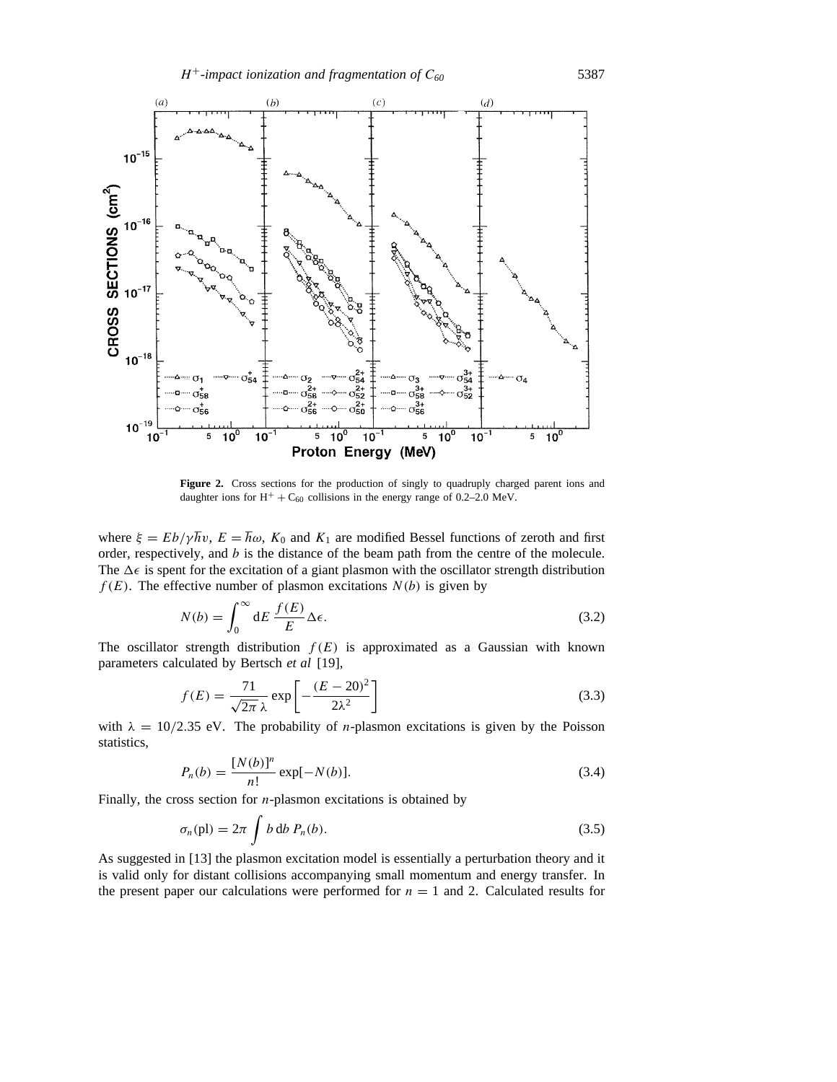

Figure 2. Cross sections for the production of singly to quadruply charged parent ions and daughter ions for  $H^+ + C_{60}$  collisions in the energy range of 0.2–2.0 MeV.

where  $\xi = Eb/\gamma \hbar v$ ,  $E = \hbar \omega$ ,  $K_0$  and  $K_1$  are modified Bessel functions of zeroth and first order, respectively, and *b* is the distance of the beam path from the centre of the molecule. The  $\Delta \epsilon$  is spent for the excitation of a giant plasmon with the oscillator strength distribution  $f(E)$ . The effective number of plasmon excitations  $N(b)$  is given by

$$
N(b) = \int_0^\infty dE \, \frac{f(E)}{E} \Delta \epsilon. \tag{3.2}
$$

The oscillator strength distribution  $f(E)$  is approximated as a Gaussian with known parameters calculated by Bertsch *et al* [19],

$$
f(E) = \frac{71}{\sqrt{2\pi}\,\lambda} \exp\left[-\frac{(E-20)^2}{2\lambda^2}\right]
$$
\n(3.3)

with  $\lambda = 10/2.35$  eV. The probability of *n*-plasmon excitations is given by the Poisson statistics,

$$
P_n(b) = \frac{[N(b)]^n}{n!} \exp[-N(b)].
$$
\n(3.4)

Finally, the cross section for *n*-plasmon excitations is obtained by

$$
\sigma_n(\text{pl}) = 2\pi \int b \, \text{d}b \, P_n(b). \tag{3.5}
$$

As suggested in [13] the plasmon excitation model is essentially a perturbation theory and it is valid only for distant collisions accompanying small momentum and energy transfer. In the present paper our calculations were performed for  $n = 1$  and 2. Calculated results for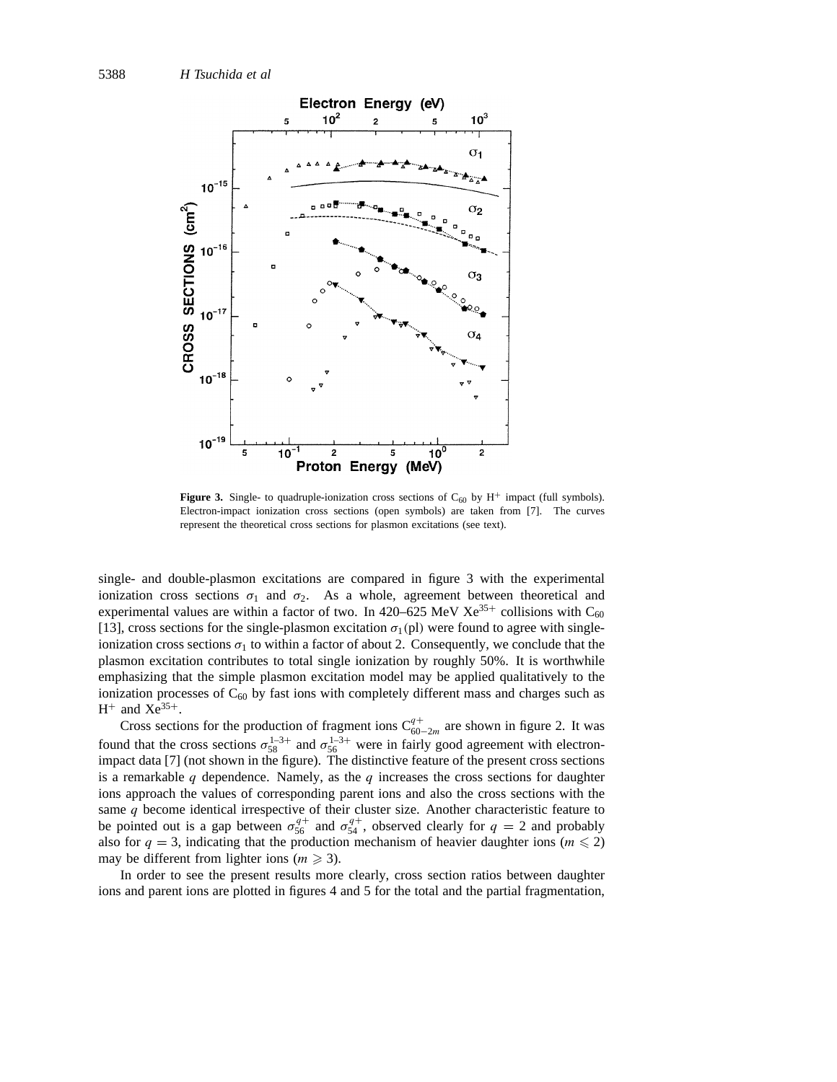

**Figure 3.** Single- to quadruple-ionization cross sections of  $C_{60}$  by  $H^+$  impact (full symbols). Electron-impact ionization cross sections (open symbols) are taken from [7]. The curves represent the theoretical cross sections for plasmon excitations (see text).

single- and double-plasmon excitations are compared in figure 3 with the experimental ionization cross sections  $\sigma_1$  and  $\sigma_2$ . As a whole, agreement between theoretical and experimental values are within a factor of two. In 420–625 MeV Xe<sup>35+</sup> collisions with C<sub>60</sub> [13], cross sections for the single-plasmon excitation  $\sigma_1$ (pl) were found to agree with singleionization cross sections  $\sigma_1$  to within a factor of about 2. Consequently, we conclude that the plasmon excitation contributes to total single ionization by roughly 50%. It is worthwhile emphasizing that the simple plasmon excitation model may be applied qualitatively to the ionization processes of  $C_{60}$  by fast ions with completely different mass and charges such as  $H^+$  and  $Xe^{35+}$ .

Cross sections for the production of fragment ions  $C_{60-2m}^{q+}$  are shown in figure 2. It was found that the cross sections  $\sigma_{58}^{1-3+}$  and  $\sigma_{56}^{1-3+}$  were in fairly good agreement with electronimpact data [7] (not shown in the figure). The distinctive feature of the present cross sections is a remarkable *q* dependence. Namely, as the *q* increases the cross sections for daughter ions approach the values of corresponding parent ions and also the cross sections with the same *q* become identical irrespective of their cluster size. Another characteristic feature to be pointed out is a gap between  $\sigma_{56}^{q+}$  and  $\sigma_{54}^{q+}$ , observed clearly for  $q = 2$  and probably also for  $q = 3$ , indicating that the production mechanism of heavier daughter ions ( $m \le 2$ ) may be different from lighter ions ( $m \ge 3$ ).

In order to see the present results more clearly, cross section ratios between daughter ions and parent ions are plotted in figures 4 and 5 for the total and the partial fragmentation,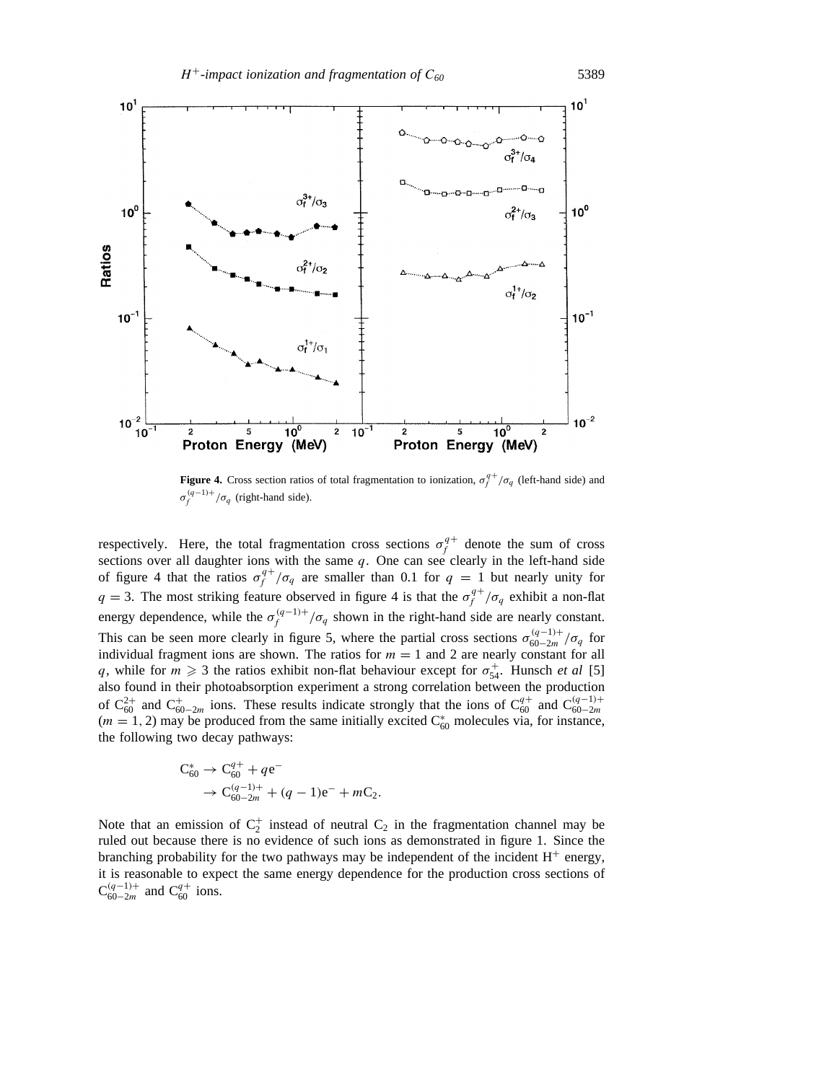

**Figure 4.** Cross section ratios of total fragmentation to ionization,  $\sigma_f^{q+}/\sigma_q$  (left-hand side) and  $\sigma_f^{(q-1)+}/\sigma_q$  (right-hand side).

respectively. Here, the total fragmentation cross sections  $\sigma_f^{q+}$  denote the sum of cross sections over all daughter ions with the same *q*. One can see clearly in the left-hand side of figure 4 that the ratios  $\sigma_f^{q+}/\sigma_q$  are smaller than 0.1 for  $q = 1$  but nearly unity for *q* = 3. The most striking feature observed in figure 4 is that the  $\sigma_f^{q+}/\sigma_q$  exhibit a non-flat energy dependence, while the  $\sigma_f^{(q-1)+}/\sigma_q$  shown in the right-hand side are nearly constant. This can be seen more clearly in figure 5, where the partial cross sections  $\sigma_{60-2m}^{(q-1)+}/\sigma_q$  for individual fragment ions are shown. The ratios for  $m = 1$  and 2 are nearly constant for all *q*, while for  $m \geq 3$  the ratios exhibit non-flat behaviour except for  $\sigma_{54}^+$ . Hunsch *et al* [5] also found in their photoabsorption experiment a strong correlation between the production of  $C_{60}^{2+}$  and  $C_{60-2m}^{+}$  ions. These results indicate strongly that the ions of  $C_{60}^{q+}$  and  $C_{60-2m}^{(q-1)+}$  $(m = 1, 2)$  may be produced from the same initially excited  $C_{60}^*$  molecules via, for instance, the following two decay pathways:

$$
C_{60}^* \to C_{60}^{q+} + qe^-
$$
  
\n
$$
\to C_{60-2m}^{(q-1)+} + (q-1)e^- + mC_2.
$$

Note that an emission of  $C_2^+$  instead of neutral  $C_2$  in the fragmentation channel may be ruled out because there is no evidence of such ions as demonstrated in figure 1. Since the branching probability for the two pathways may be independent of the incident  $H<sup>+</sup>$  energy, it is reasonable to expect the same energy dependence for the production cross sections of  $C_{60-2m}^{(q-1)+}$  and  $C_{60}^{q+}$  ions.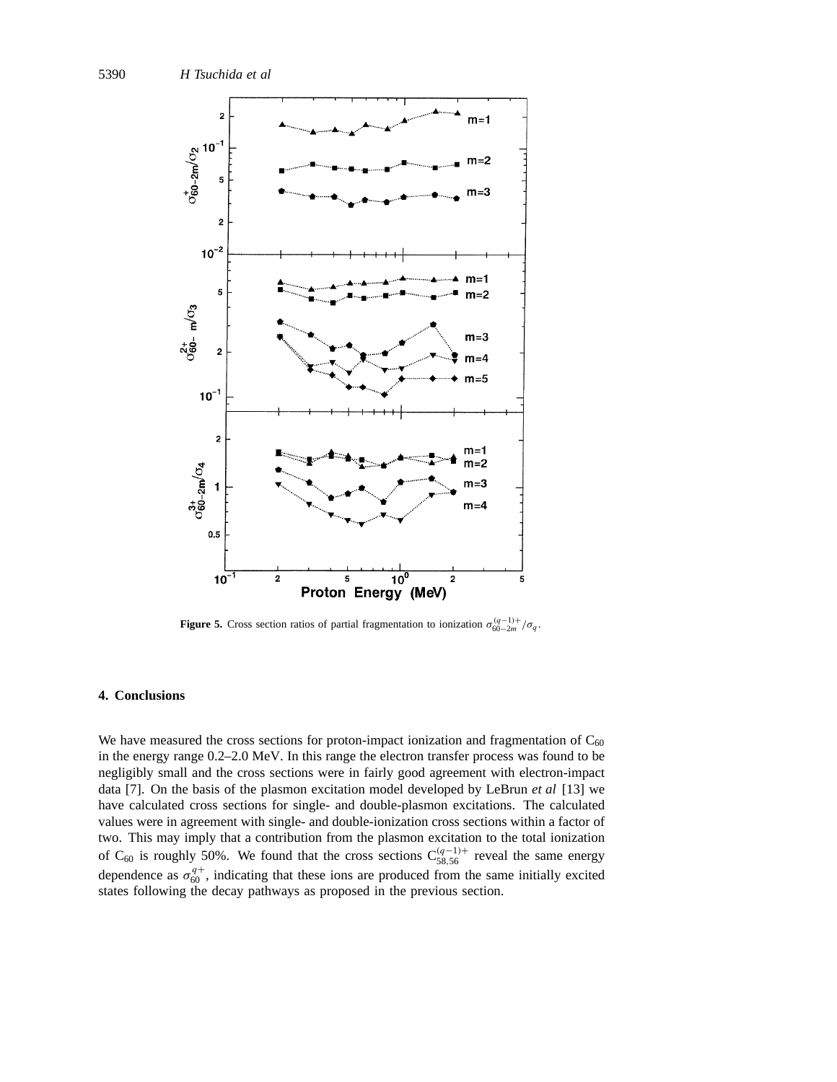

**Figure 5.** Cross section ratios of partial fragmentation to ionization  $\sigma_{60-2m}^{(q-1)+}/\sigma_q$ .

## **4. Conclusions**

We have measured the cross sections for proton-impact ionization and fragmentation of  $C_{60}$ in the energy range 0.2–2.0 MeV. In this range the electron transfer process was found to be negligibly small and the cross sections were in fairly good agreement with electron-impact data [7]. On the basis of the plasmon excitation model developed by LeBrun *et al* [13] we have calculated cross sections for single- and double-plasmon excitations. The calculated values were in agreement with single- and double-ionization cross sections within a factor of two. This may imply that a contribution from the plasmon excitation to the total ionization of C<sub>60</sub> is roughly 50%. We found that the cross sections  $C_{58,56}^{(q-1)+}$  reveal the same energy dependence as  $\sigma_{60}^{q+}$ , indicating that these ions are produced from the same initially excited states following the decay pathways as proposed in the previous section.